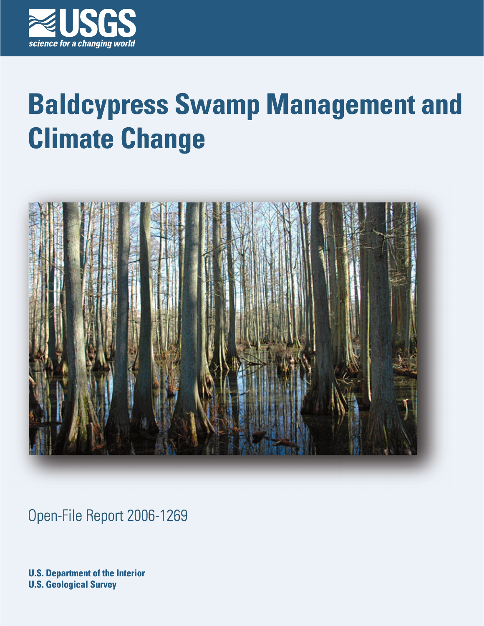

# **Baldcypress Swamp Management and Climate Change**



Open-File Report 2006-1269

**U.S. Department of the Interior U.S. Geological Survey**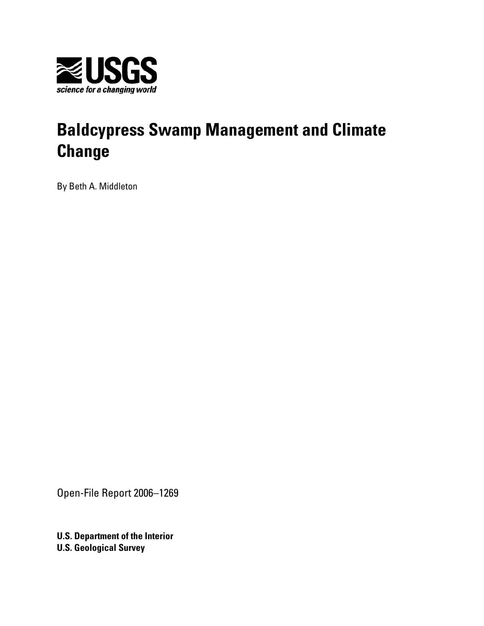

## **Baldcypress Swamp Management and Climate Change**

By Beth A. Middleton

Open-File Report 2006–1269

**U.S. Department of the Interior U.S. Geological Survey**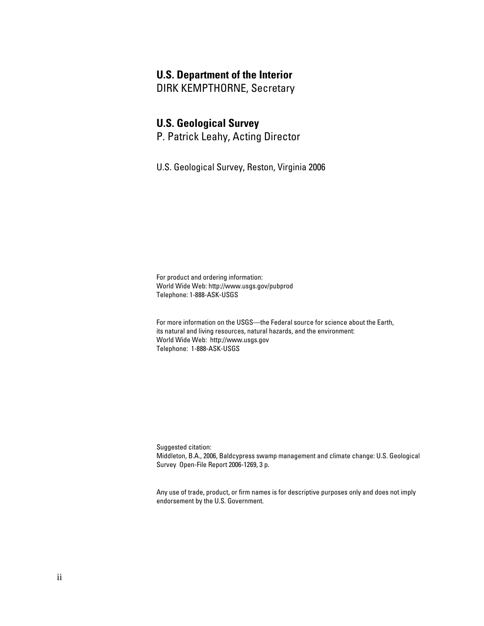#### **U.S. Department of the Interior**

DIRK KEMPTHORNE, Secretary

#### **U.S. Geological Survey**

P. Patrick Leahy, Acting Director

U.S. Geological Survey, Reston, Virginia 2006

For product and ordering information: World Wide Web: http://www.usgs.gov/pubprod Telephone: 1-888-ASK-USGS

For more information on the USGS—the Federal source for science about the Earth, its natural and living resources, natural hazards, and the environment: World Wide Web: http://www.usgs.gov Telephone: 1-888-ASK-USGS

Suggested citation: Middleton, B.A., 2006, Baldcypress swamp management and climate change: U.S. Geological Survey Open-File Report 2006-1269, 3 p.

Any use of trade, product, or firm names is for descriptive purposes only and does not imply endorsement by the U.S. Government.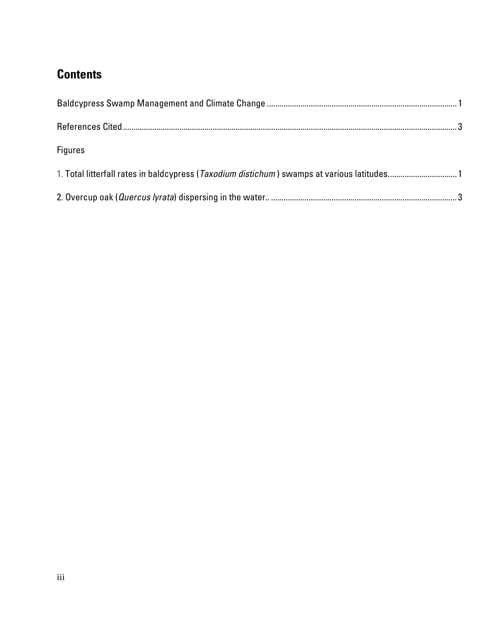### **Contents**

| <b>Figures</b>                                                                                      |  |
|-----------------------------------------------------------------------------------------------------|--|
| 1. Total litterfall rates in baldcypress ( <i>Taxodium distichum</i> ) swamps at various latitudes1 |  |
|                                                                                                     |  |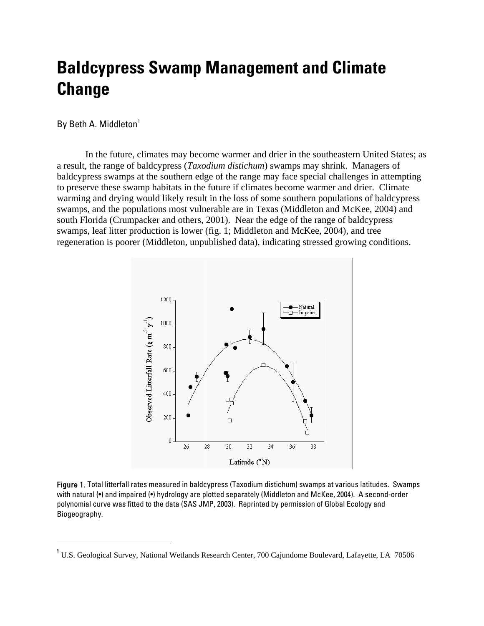## **Baldcypress Swamp Management and Climate Change**

By Beth A. Middleton<sup>[1](#page-4-0)</sup>

 $\overline{a}$ 

 In the future, climates may become warmer and drier in the southeastern United States; as a result, the range of baldcypress (*Taxodium distichum*) swamps may shrink. Managers of baldcypress swamps at the southern edge of the range may face special challenges in attempting to preserve these swamp habitats in the future if climates become warmer and drier. Climate warming and drying would likely result in the loss of some southern populations of baldcypress swamps, and the populations most vulnerable are in Texas (Middleton and McKee, 2004) and south Florida (Crumpacker and others, 2001). Near the edge of the range of baldcypress swamps, leaf litter production is lower (fig. 1; Middleton and McKee, 2004), and tree regeneration is poorer (Middleton, unpublished data), indicating stressed growing conditions.



Figure 1. Total litterfall rates measured in baldcypress (Taxodium distichum) swamps at various latitudes. Swamps with natural (•) and impaired (•) hydrology are plotted separately (Middleton and McKee, 2004). A second-order polynomial curve was fitted to the data (SAS JMP, 2003). Reprinted by permission of Global Ecology and Biogeography.

<span id="page-4-0"></span>**<sup>1</sup>** U.S. Geological Survey, National Wetlands Research Center, 700 Cajundome Boulevard, Lafayette, LA 70506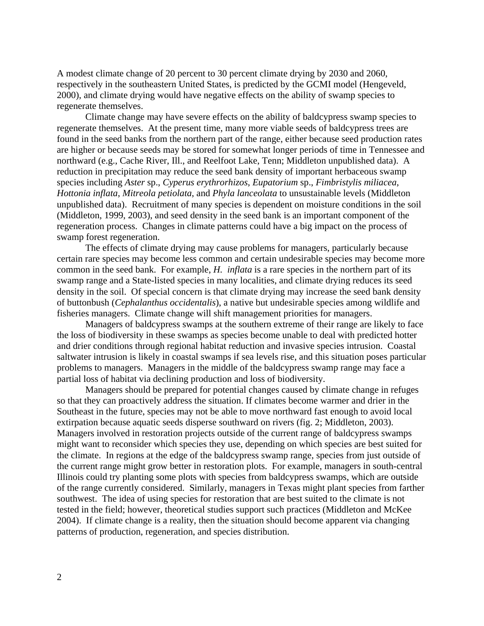A modest climate change of 20 percent to 30 percent climate drying by 2030 and 2060, respectively in the southeastern United States, is predicted by the GCMI model (Hengeveld, 2000), and climate drying would have negative effects on the ability of swamp species to regenerate themselves.

Climate change may have severe effects on the ability of baldcypress swamp species to regenerate themselves. At the present time, many more viable seeds of baldcypress trees are found in the seed banks from the northern part of the range, either because seed production rates are higher or because seeds may be stored for somewhat longer periods of time in Tennessee and northward (e.g., Cache River, Ill., and Reelfoot Lake, Tenn; Middleton unpublished data). A reduction in precipitation may reduce the seed bank density of important herbaceous swamp species including *Aster* sp., *Cyperus erythrorhizos*, *Eupatorium* sp., *Fimbristylis miliacea*, *Hottonia inflata*, *Mitreola petiolata*, and *Phyla lanceolata* to unsustainable levels (Middleton unpublished data). Recruitment of many species is dependent on moisture conditions in the soil (Middleton, 1999, 2003), and seed density in the seed bank is an important component of the regeneration process. Changes in climate patterns could have a big impact on the process of swamp forest regeneration.

The effects of climate drying may cause problems for managers, particularly because certain rare species may become less common and certain undesirable species may become more common in the seed bank. For example, *H. inflata* is a rare species in the northern part of its swamp range and a State-listed species in many localities, and climate drying reduces its seed density in the soil. Of special concern is that climate drying may increase the seed bank density of buttonbush (*Cephalanthus occidentalis*), a native but undesirable species among wildlife and fisheries managers. Climate change will shift management priorities for managers.

Managers of baldcypress swamps at the southern extreme of their range are likely to face the loss of biodiversity in these swamps as species become unable to deal with predicted hotter and drier conditions through regional habitat reduction and invasive species intrusion. Coastal saltwater intrusion is likely in coastal swamps if sea levels rise, and this situation poses particular problems to managers. Managers in the middle of the baldcypress swamp range may face a partial loss of habitat via declining production and loss of biodiversity.

Managers should be prepared for potential changes caused by climate change in refuges so that they can proactively address the situation. If climates become warmer and drier in the Southeast in the future, species may not be able to move northward fast enough to avoid local extirpation because aquatic seeds disperse southward on rivers (fig. 2; Middleton, 2003). Managers involved in restoration projects outside of the current range of baldcypress swamps might want to reconsider which species they use, depending on which species are best suited for the climate. In regions at the edge of the baldcypress swamp range, species from just outside of the current range might grow better in restoration plots. For example, managers in south-central Illinois could try planting some plots with species from baldcypress swamps, which are outside of the range currently considered. Similarly, managers in Texas might plant species from farther southwest. The idea of using species for restoration that are best suited to the climate is not tested in the field; however, theoretical studies support such practices (Middleton and McKee 2004). If climate change is a reality, then the situation should become apparent via changing patterns of production, regeneration, and species distribution.